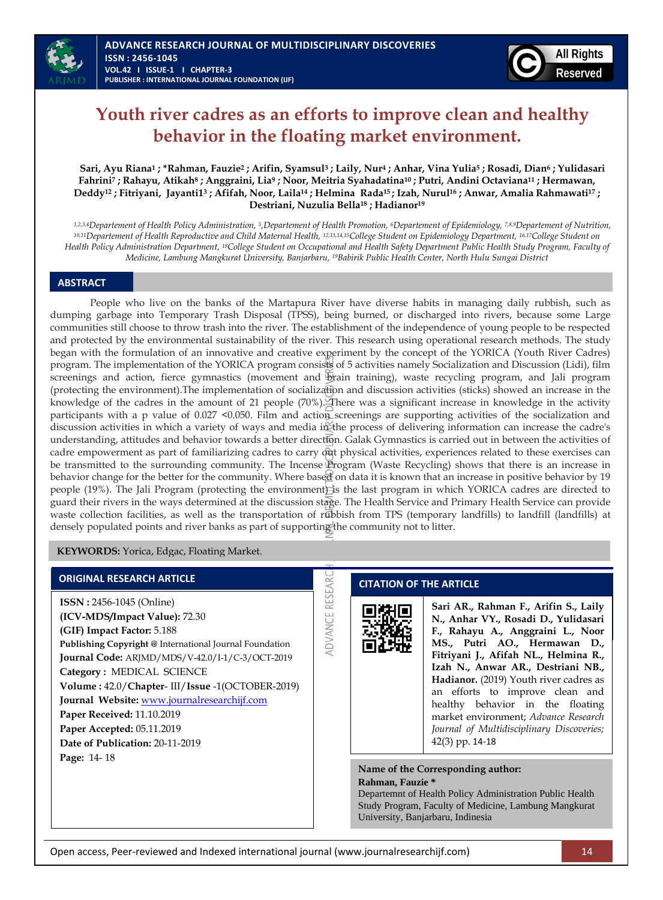

# **Youth river cadres as an efforts to improve clean and healthy behavior in the floating market environment.**

Sari, Ayu Riana<sup>1</sup>; \*Rahman, Fauzie<sup>2</sup>; Arifin, Syamsul<sup>3</sup>; Laily, Nur<sup>4</sup>; Anhar, Vina Yulia<sup>5</sup>; Rosadi, Dian<sup>6</sup>; Yulidasari Fahrini7; Rahayu, Atikah<sup>8</sup>; Anggraini, Lia<sup>9</sup>; Noor, Meitria Syahadatina<sup>10</sup>; Putri, Andini Octaviana<sup>11</sup>; Hermawan, Deddy<sup>12</sup>; Fitriyani, Jayanti1<sup>3</sup>; Afifah, Noor, Laila<sup>14</sup>; Helmina Rada<sup>15</sup>; Izah, Nurul<sup>16</sup>; Anwar, Amalia Rahmawati<sup>17</sup>; **Destriani, Nuzulia Bella<sup>18</sup> ; Hadianor<sup>19</sup>**

*1,2,3,4Departement of Health Policy Administration, <sup>5</sup> ,Departement of Health Promotion, 6Departement of Epidemiology, 7,8,9Departement of Nutrition, 10,11Departement of Health Reproductive and Child Maternal Health, 12,13,14,15College Student on Epidemiology Department, 16,17College Student on Health Policy Administration Department, 18College Student on Occupational and Health Safety Department Public Health Study Program, Faculty of Medicine, Lambung Mangkurat University, Banjarbaru, 19Babirik Public Health Center, North Hulu Sungai District*

#### **ABSTRACT**

People who live on the banks of the Martapura River have diverse habits in managing daily rubbish, such as dumping garbage into Temporary Trash Disposal (TPSS), being burned, or discharged into rivers, because some Large communities still choose to throw trash into the river. The establishment of the independence of young people to be respected and protected by the environmental sustainability of the river. This research using operational research methods. The study began with the formulation of an innovative and creative experiment by the concept of the YORICA (Youth River Cadres) program. The implementation of the YORICA program consists of 5 activities namely Socialization and Discussion (Lidi), film screenings and action, fierce gymnastics (movement and brain training), waste recycling program, and Jali program (protecting the environment).The implementation of socialization and discussion activities (sticks) showed an increase in the knowledge of the cadres in the amount of 21 people (70%). There was a significant increase in knowledge in the activity participants with a p value of 0.027 <0.050. Film and action screenings are supporting activities of the socialization and discussion activities in which a variety of ways and media in the process of delivering information can increase the cadre's understanding, attitudes and behavior towards a better direction. Galak Gymnastics is carried out in between the activities of cadre empowerment as part of familiarizing cadres to carry  $\partial u$  physical activities, experiences related to these exercises can be transmitted to the surrounding community. The Incense Program (Waste Recycling) shows that there is an increase in behavior change for the better for the community. Where based on data it is known that an increase in positive behavior by 19 people (19%). The Jali Program (protecting the environment) is the last program in which YORICA cadres are directed to guard their rivers in the ways determined at the discussion stage. The Health Service and Primary Health Service can provide waste collection facilities, as well as the transportation of rubbish from TPS (temporary landfills) to landfill (landfills) at densely populated points and river banks as part of supporting the community not to litter.

RESEAR

ADVANCE

**KEYWORDS:** Yorica, Edgac, Floating Market.

### **ORIGINAL RESEARCH ARTICLE**

**ISSN :** 2456-1045 (Online) **(ICV-MDS/Impact Value):** 72.30 **(GIF) Impact Factor:** 5.188 **Publishing Copyright @** International Journal Foundation **Journal Code:** ARJMD/MDS/V-42.0/I-1/C-3/OCT-2019 **Category :** MEDICAL SCIENCE **Volume :** 42.0/**Chapter**- III/**Issue** -1(OCTOBER-2019) **Journal Website:** [www.journalresearchijf.com](http://www.journalresearchijf.com/) **Paper Received:** 11.10.2019 **Paper Accepted:** 05.11.2019 **Date of Publication:** 20-11-2019 **Page:** 14- 18

### **CITATION OF THE ARTICLE**

**Sari AR., Rahman F., Arifin S., Laily N., Anhar VY., Rosadi D., Yulidasari F., Rahayu A., Anggraini L., Noor MS., Putri AO., Hermawan D., Fitriyani J., Afifah NL., Helmina R., Izah N., Anwar AR., Destriani NB., Hadianor.** (2019) Youth river cadres as an efforts to improve clean and healthy behavior in the floating market environment; *Advance Research Journal of Multidisciplinary Discoveries;* 42(3) pp. 14-18

**Name of the Corresponding author: Rahman, Fauzie \***

Departemnt of Health Policy Administration Public Health Study Program, Faculty of Medicine, Lambung Mangkurat University, Banjarbaru, Indinesia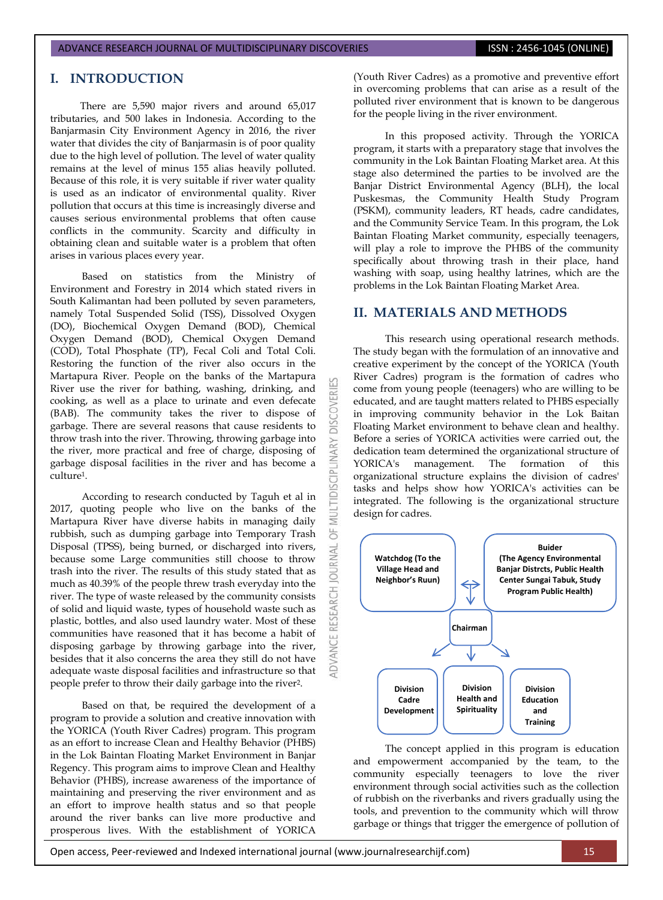### **I. INTRODUCTION**

There are 5,590 major rivers and around 65,017 tributaries, and 500 lakes in Indonesia. According to the Banjarmasin City Environment Agency in 2016, the river water that divides the city of Banjarmasin is of poor quality due to the high level of pollution. The level of water quality remains at the level of minus 155 alias heavily polluted. Because of this role, it is very suitable if river water quality is used as an indicator of environmental quality. River pollution that occurs at this time is increasingly diverse and causes serious environmental problems that often cause conflicts in the community. Scarcity and difficulty in obtaining clean and suitable water is a problem that often arises in various places every year.

Based on statistics from the Ministry of Environment and Forestry in 2014 which stated rivers in South Kalimantan had been polluted by seven parameters, namely Total Suspended Solid (TSS), Dissolved Oxygen (DO), Biochemical Oxygen Demand (BOD), Chemical Oxygen Demand (BOD), Chemical Oxygen Demand (COD), Total Phosphate (TP), Fecal Coli and Total Coli. Restoring the function of the river also occurs in the Martapura River. People on the banks of the Martapura River use the river for bathing, washing, drinking, and cooking, as well as a place to urinate and even defecate (BAB). The community takes the river to dispose of garbage. There are several reasons that cause residents to throw trash into the river. Throwing, throwing garbage into the river, more practical and free of charge, disposing of garbage disposal facilities in the river and has become a culture1.

According to research conducted by Taguh et al in 2017, quoting people who live on the banks of the Martapura River have diverse habits in managing daily rubbish, such as dumping garbage into Temporary Trash Disposal (TPSS), being burned, or discharged into rivers, because some Large communities still choose to throw trash into the river. The results of this study stated that as much as 40.39% of the people threw trash everyday into the river. The type of waste released by the community consists of solid and liquid waste, types of household waste such as plastic, bottles, and also used laundry water. Most of these communities have reasoned that it has become a habit of disposing garbage by throwing garbage into the river, besides that it also concerns the area they still do not have adequate waste disposal facilities and infrastructure so that people prefer to throw their daily garbage into the river2.

Based on that, be required the development of a program to provide a solution and creative innovation with the YORICA (Youth River Cadres) program. This program as an effort to increase Clean and Healthy Behavior (PHBS) in the Lok Baintan Floating Market Environment in Banjar Regency. This program aims to improve Clean and Healthy Behavior (PHBS), increase awareness of the importance of maintaining and preserving the river environment and as an effort to improve health status and so that people around the river banks can live more productive and prosperous lives. With the establishment of YORICA

(Youth River Cadres) as a promotive and preventive effort in overcoming problems that can arise as a result of the polluted river environment that is known to be dangerous for the people living in the river environment.

In this proposed activity. Through the YORICA program, it starts with a preparatory stage that involves the community in the Lok Baintan Floating Market area. At this stage also determined the parties to be involved are the Banjar District Environmental Agency (BLH), the local Puskesmas, the Community Health Study Program (PSKM), community leaders, RT heads, cadre candidates, and the Community Service Team. In this program, the Lok Baintan Floating Market community, especially teenagers, will play a role to improve the PHBS of the community specifically about throwing trash in their place, hand washing with soap, using healthy latrines, which are the problems in the Lok Baintan Floating Market Area.

# **II. MATERIALS AND METHODS**

**DISCOVER** 

PLINARY

DISC

5F

**JAWAL** 

**IDVANCE RESEARCH** 

This research using operational research methods. The study began with the formulation of an innovative and creative experiment by the concept of the YORICA (Youth River Cadres) program is the formation of cadres who come from young people (teenagers) who are willing to be educated, and are taught matters related to PHBS especially in improving community behavior in the Lok Baitan Floating Market environment to behave clean and healthy. Before a series of YORICA activities were carried out, the dedication team determined the organizational structure of YORICA's management. The formation of this organizational structure explains the division of cadres' tasks and helps show how YORICA's activities can be integrated. The following is the organizational structure design for cadres.



The concept applied in this program is education and empowerment accompanied by the team, to the community especially teenagers to love the river environment through social activities such as the collection of rubbish on the riverbanks and rivers gradually using the tools, and prevention to the community which will throw garbage or things that trigger the emergence of pollution of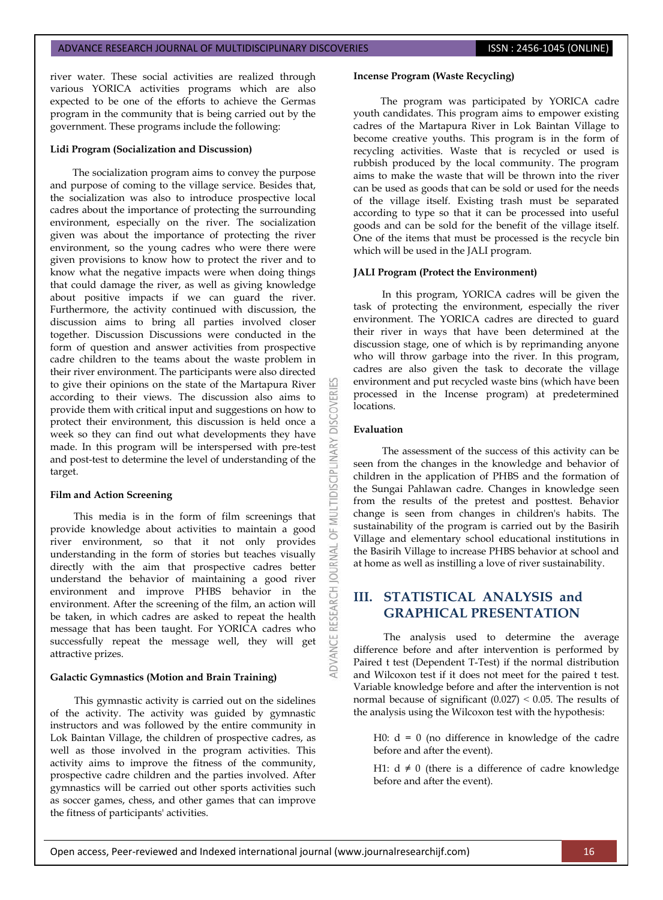river water. These social activities are realized through various YORICA activities programs which are also expected to be one of the efforts to achieve the Germas program in the community that is being carried out by the government. These programs include the following:

#### **Lidi Program (Socialization and Discussion)**

The socialization program aims to convey the purpose and purpose of coming to the village service. Besides that, the socialization was also to introduce prospective local cadres about the importance of protecting the surrounding environment, especially on the river. The socialization given was about the importance of protecting the river environment, so the young cadres who were there were given provisions to know how to protect the river and to know what the negative impacts were when doing things that could damage the river, as well as giving knowledge about positive impacts if we can guard the river. Furthermore, the activity continued with discussion, the discussion aims to bring all parties involved closer together. Discussion Discussions were conducted in the form of question and answer activities from prospective cadre children to the teams about the waste problem in their river environment. The participants were also directed to give their opinions on the state of the Martapura River according to their views. The discussion also aims to provide them with critical input and suggestions on how to protect their environment, this discussion is held once a week so they can find out what developments they have made. In this program will be interspersed with pre-test and post-test to determine the level of understanding of the target.

#### **Film and Action Screening**

This media is in the form of film screenings that provide knowledge about activities to maintain a good river environment, so that it not only provides understanding in the form of stories but teaches visually directly with the aim that prospective cadres better understand the behavior of maintaining a good river environment and improve PHBS behavior in the environment. After the screening of the film, an action will be taken, in which cadres are asked to repeat the health message that has been taught. For YORICA cadres who successfully repeat the message well, they will get attractive prizes.

#### **Galactic Gymnastics (Motion and Brain Training)**

This gymnastic activity is carried out on the sidelines of the activity. The activity was guided by gymnastic instructors and was followed by the entire community in Lok Baintan Village, the children of prospective cadres, as well as those involved in the program activities. This activity aims to improve the fitness of the community, prospective cadre children and the parties involved. After gymnastics will be carried out other sports activities such as soccer games, chess, and other games that can improve the fitness of participants' activities.

#### **Incense Program (Waste Recycling)**

The program was participated by YORICA cadre youth candidates. This program aims to empower existing cadres of the Martapura River in Lok Baintan Village to become creative youths. This program is in the form of recycling activities. Waste that is recycled or used is rubbish produced by the local community. The program aims to make the waste that will be thrown into the river can be used as goods that can be sold or used for the needs of the village itself. Existing trash must be separated according to type so that it can be processed into useful goods and can be sold for the benefit of the village itself. One of the items that must be processed is the recycle bin which will be used in the JALI program.

#### **JALI Program (Protect the Environment)**

In this program, YORICA cadres will be given the task of protecting the environment, especially the river environment. The YORICA cadres are directed to guard their river in ways that have been determined at the discussion stage, one of which is by reprimanding anyone who will throw garbage into the river. In this program, cadres are also given the task to decorate the village environment and put recycled waste bins (which have been processed in the Incense program) at predetermined locations.

#### **Evaluation**

:OVERI

**DISCIPL** 

NAL

 $\overline{0}$ 

The assessment of the success of this activity can be seen from the changes in the knowledge and behavior of children in the application of PHBS and the formation of the Sungai Pahlawan cadre. Changes in knowledge seen from the results of the pretest and posttest. Behavior change is seen from changes in children's habits. The sustainability of the program is carried out by the Basirih Village and elementary school educational institutions in the Basirih Village to increase PHBS behavior at school and at home as well as instilling a love of river sustainability.

# **III. STATISTICAL ANALYSIS and GRAPHICAL PRESENTATION**

The analysis used to determine the average difference before and after intervention is performed by Paired t test (Dependent T-Test) if the normal distribution and Wilcoxon test if it does not meet for the paired t test. Variable knowledge before and after the intervention is not normal because of significant  $(0.027) < 0.05$ . The results of the analysis using the Wilcoxon test with the hypothesis:

H0:  $d = 0$  (no difference in knowledge of the cadre before and after the event).

H1:  $d \neq 0$  (there is a difference of cadre knowledge before and after the event).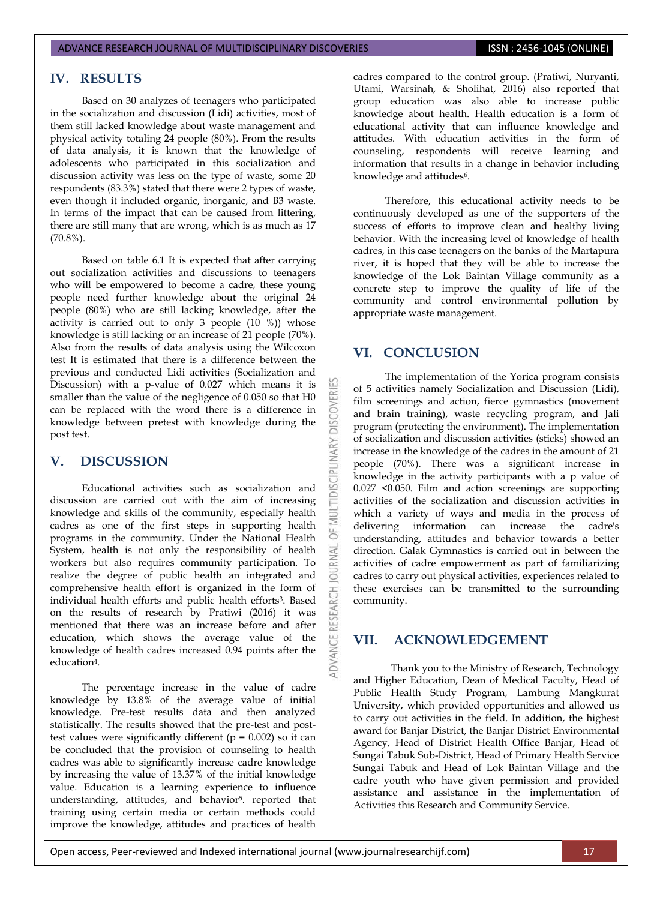# **IV. RESULTS**

Based on 30 analyzes of teenagers who participated in the socialization and discussion (Lidi) activities, most of them still lacked knowledge about waste management and physical activity totaling 24 people (80%). From the results of data analysis, it is known that the knowledge of adolescents who participated in this socialization and discussion activity was less on the type of waste, some 20 respondents (83.3%) stated that there were 2 types of waste, even though it included organic, inorganic, and B3 waste. In terms of the impact that can be caused from littering, there are still many that are wrong, which is as much as 17 (70.8%).

Based on table 6.1 It is expected that after carrying out socialization activities and discussions to teenagers who will be empowered to become a cadre, these young people need further knowledge about the original 24 people (80%) who are still lacking knowledge, after the activity is carried out to only 3 people  $(10 \t%)$  whose knowledge is still lacking or an increase of 21 people (70%). Also from the results of data analysis using the Wilcoxon test It is estimated that there is a difference between the previous and conducted Lidi activities (Socialization and Discussion) with a p-value of 0.027 which means it is smaller than the value of the negligence of 0.050 so that H0 can be replaced with the word there is a difference in knowledge between pretest with knowledge during the post test.

# **V. DISCUSSION**

Educational activities such as socialization and discussion are carried out with the aim of increasing knowledge and skills of the community, especially health cadres as one of the first steps in supporting health programs in the community. Under the National Health System, health is not only the responsibility of health workers but also requires community participation. To realize the degree of public health an integrated and comprehensive health effort is organized in the form of individual health efforts and public health efforts3. Based on the results of research by Pratiwi (2016) it was mentioned that there was an increase before and after education, which shows the average value of the knowledge of health cadres increased 0.94 points after the education4.

The percentage increase in the value of cadre knowledge by 13.8% of the average value of initial knowledge. Pre-test results data and then analyzed statistically. The results showed that the pre-test and posttest values were significantly different ( $p = 0.002$ ) so it can be concluded that the provision of counseling to health cadres was able to significantly increase cadre knowledge by increasing the value of 13.37% of the initial knowledge value. Education is a learning experience to influence understanding, attitudes, and behavior5. reported that training using certain media or certain methods could improve the knowledge, attitudes and practices of health cadres compared to the control group. (Pratiwi, Nuryanti, Utami, Warsinah, & Sholihat, 2016) also reported that group education was also able to increase public knowledge about health. Health education is a form of educational activity that can influence knowledge and attitudes. With education activities in the form of counseling, respondents will receive learning and information that results in a change in behavior including knowledge and attitudes<sup>6</sup>.

Therefore, this educational activity needs to be continuously developed as one of the supporters of the success of efforts to improve clean and healthy living behavior. With the increasing level of knowledge of health cadres, in this case teenagers on the banks of the Martapura river, it is hoped that they will be able to increase the knowledge of the Lok Baintan Village community as a concrete step to improve the quality of life of the community and control environmental pollution by appropriate waste management.

# **VI. CONCLUSION**

DISCOVER

**IDISCIPLINARY** 

ö **JRNAL**  $\overline{0}$ 

ADVANCE

The implementation of the Yorica program consists of 5 activities namely Socialization and Discussion (Lidi), film screenings and action, fierce gymnastics (movement and brain training), waste recycling program, and Jali program (protecting the environment). The implementation of socialization and discussion activities (sticks) showed an increase in the knowledge of the cadres in the amount of 21 people (70%). There was a significant increase in knowledge in the activity participants with a p value of 0.027 <0.050. Film and action screenings are supporting activities of the socialization and discussion activities in which a variety of ways and media in the process of delivering information can increase the cadre's understanding, attitudes and behavior towards a better direction. Galak Gymnastics is carried out in between the activities of cadre empowerment as part of familiarizing cadres to carry out physical activities, experiences related to these exercises can be transmitted to the surrounding community.

### **VII. ACKNOWLEDGEMENT**

 Thank you to the Ministry of Research, Technology and Higher Education, Dean of Medical Faculty, Head of Public Health Study Program, Lambung Mangkurat University, which provided opportunities and allowed us to carry out activities in the field. In addition, the highest award for Banjar District, the Banjar District Environmental Agency, Head of District Health Office Banjar, Head of Sungai Tabuk Sub-District, Head of Primary Health Service Sungai Tabuk and Head of Lok Baintan Village and the cadre youth who have given permission and provided assistance and assistance in the implementation of Activities this Research and Community Service.